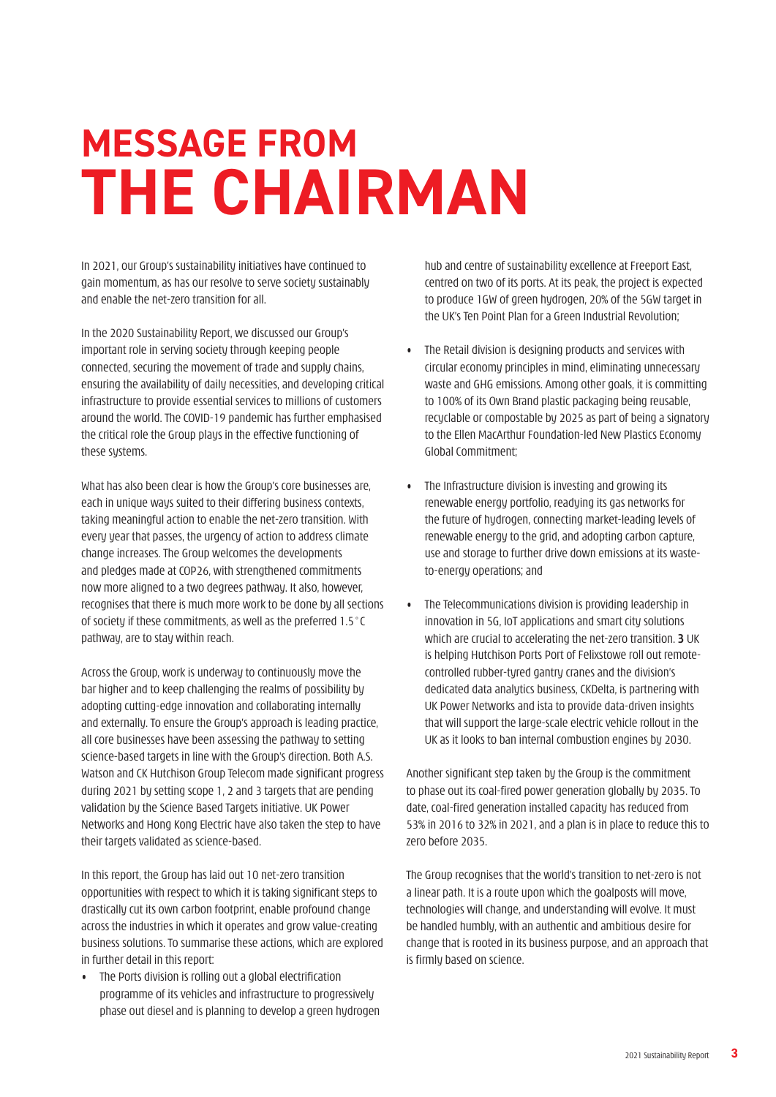## **MESSAGE FROM THE CHAIRMAN**

In 2021, our Group's sustainability initiatives have continued to gain momentum, as has our resolve to serve society sustainably and enable the net-zero transition for all.

In the 2020 Sustainability Report, we discussed our Group's important role in serving society through keeping people connected, securing the movement of trade and supply chains, ensuring the availability of daily necessities, and developing critical infrastructure to provide essential services to millions of customers around the world. The COVID-19 pandemic has further emphasised the critical role the Group plays in the effective functioning of these systems.

What has also been clear is how the Group's core businesses are, each in unique ways suited to their differing business contexts, taking meaningful action to enable the net-zero transition. With every year that passes, the urgency of action to address climate change increases. The Group welcomes the developments and pledges made at COP26, with strengthened commitments now more aligned to a two degrees pathway. It also, however, recognises that there is much more work to be done by all sections of society if these commitments, as well as the preferred 1.5°C pathway, are to stay within reach.

Across the Group, work is underway to continuously move the bar higher and to keep challenging the realms of possibility by adopting cutting-edge innovation and collaborating internally and externally. To ensure the Group's approach is leading practice, all core businesses have been assessing the pathway to setting science-based targets in line with the Group's direction. Both A.S. Watson and CK Hutchison Group Telecom made significant progress during 2021 by setting scope 1, 2 and 3 targets that are pending validation by the Science Based Targets initiative. UK Power Networks and Hong Kong Electric have also taken the step to have their targets validated as science-based.

In this report, the Group has laid out 10 net-zero transition opportunities with respect to which it is taking significant steps to drastically cut its own carbon footprint, enable profound change across the industries in which it operates and grow value-creating business solutions. To summarise these actions, which are explored in further detail in this report:

• The Ports division is rolling out a global electrification programme of its vehicles and infrastructure to progressively phase out diesel and is planning to develop a green hydrogen hub and centre of sustainability excellence at Freeport East, centred on two of its ports. At its peak, the project is expected to produce 1GW of green hydrogen, 20% of the 5GW target in the UK's Ten Point Plan for a Green Industrial Revolution;

- The Retail division is designing products and services with circular economy principles in mind, eliminating unnecessary waste and GHG emissions. Among other goals, it is committing to 100% of its Own Brand plastic packaging being reusable, recyclable or compostable by 2025 as part of being a signatory to the Ellen MacArthur Foundation-led New Plastics Economy Global Commitment;
- The Infrastructure division is investing and growing its renewable energy portfolio, readying its gas networks for the future of hydrogen, connecting market-leading levels of renewable energy to the grid, and adopting carbon capture, use and storage to further drive down emissions at its wasteto-energy operations; and
- The Telecommunications division is providing leadership in innovation in 5G, IoT applications and smart city solutions which are crucial to accelerating the net-zero transition. **3** UK is helping Hutchison Ports Port of Felixstowe roll out remotecontrolled rubber-tyred gantry cranes and the division's dedicated data analytics business, CKDelta, is partnering with UK Power Networks and ista to provide data-driven insights that will support the large-scale electric vehicle rollout in the UK as it looks to ban internal combustion engines by 2030.

Another significant step taken by the Group is the commitment to phase out its coal-fired power generation globally by 2035. To date, coal-fired generation installed capacity has reduced from 53% in 2016 to 32% in 2021, and a plan is in place to reduce this to zero before 2035.

The Group recognises that the world's transition to net-zero is not a linear path. It is a route upon which the goalposts will move, technologies will change, and understanding will evolve. It must be handled humbly, with an authentic and ambitious desire for change that is rooted in its business purpose, and an approach that is firmly based on science.